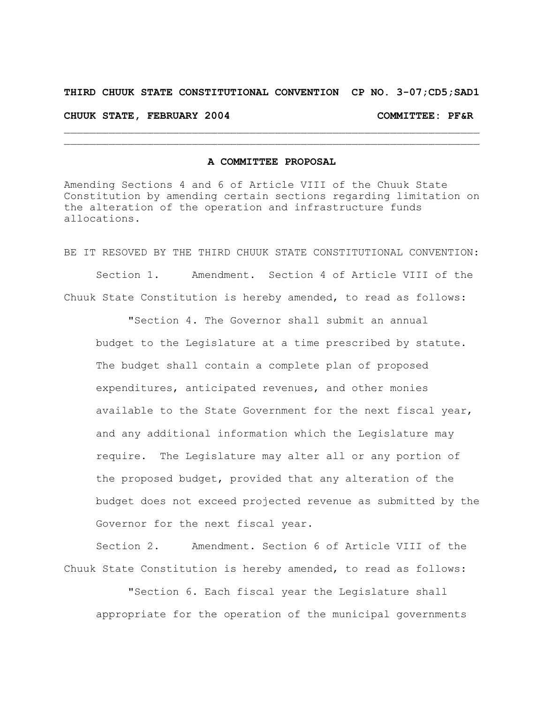## **THIRD CHUUK STATE CONSTITUTIONAL CONVENTION CP NO. 3-07;CD5;SAD1 CHUUK STATE, FEBRUARY 2004 COMMITTEE: PF&R**

 $\mathcal{L}_\text{max} = \mathcal{L}_\text{max} = \mathcal{L}_\text{max} = \mathcal{L}_\text{max} = \mathcal{L}_\text{max} = \mathcal{L}_\text{max} = \mathcal{L}_\text{max} = \mathcal{L}_\text{max} = \mathcal{L}_\text{max} = \mathcal{L}_\text{max} = \mathcal{L}_\text{max} = \mathcal{L}_\text{max} = \mathcal{L}_\text{max} = \mathcal{L}_\text{max} = \mathcal{L}_\text{max} = \mathcal{L}_\text{max} = \mathcal{L}_\text{max} = \mathcal{L}_\text{max} = \mathcal{$  $\mathcal{L}_\text{max} = \mathcal{L}_\text{max} = \mathcal{L}_\text{max} = \mathcal{L}_\text{max} = \mathcal{L}_\text{max} = \mathcal{L}_\text{max} = \mathcal{L}_\text{max} = \mathcal{L}_\text{max} = \mathcal{L}_\text{max} = \mathcal{L}_\text{max} = \mathcal{L}_\text{max} = \mathcal{L}_\text{max} = \mathcal{L}_\text{max} = \mathcal{L}_\text{max} = \mathcal{L}_\text{max} = \mathcal{L}_\text{max} = \mathcal{L}_\text{max} = \mathcal{L}_\text{max} = \mathcal{$ 

## **A COMMITTEE PROPOSAL**

Amending Sections 4 and 6 of Article VIII of the Chuuk State Constitution by amending certain sections regarding limitation on the alteration of the operation and infrastructure funds allocations.

BE IT RESOVED BY THE THIRD CHUUK STATE CONSTITUTIONAL CONVENTION: Section 1. Amendment. Section 4 of Article VIII of the Chuuk State Constitution is hereby amended, to read as follows:

"Section 4. The Governor shall submit an annual budget to the Legislature at a time prescribed by statute. The budget shall contain a complete plan of proposed expenditures, anticipated revenues, and other monies available to the State Government for the next fiscal year, and any additional information which the Legislature may require. The Legislature may alter all or any portion of the proposed budget, provided that any alteration of the budget does not exceed projected revenue as submitted by the Governor for the next fiscal year.

Section 2. Amendment. Section 6 of Article VIII of the Chuuk State Constitution is hereby amended, to read as follows:

"Section 6. Each fiscal year the Legislature shall appropriate for the operation of the municipal governments